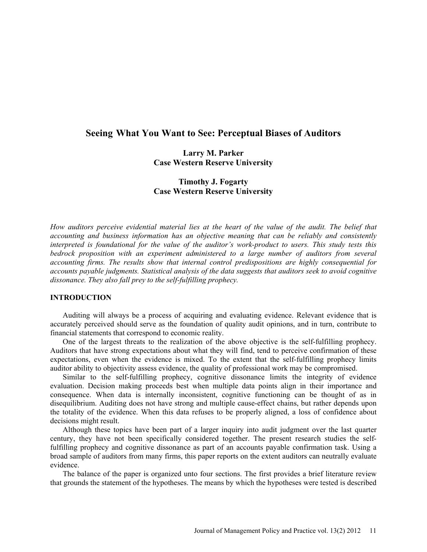# **Seeing What You Want to See: Perceptual Biases of Auditors**

## **Larry M. Parker Case Western Reserve University**

# **Timothy J. Fogarty Case Western Reserve University**

*How auditors perceive evidential material lies at the heart of the value of the audit. The belief that accounting and business information has an objective meaning that can be reliably and consistently interpreted is foundational for the value of the auditor's work-product to users. This study tests this bedrock proposition with an experiment administered to a large number of auditors from several accounting firms. The results show that internal control predispositions are highly consequential for accounts payable judgments. Statistical analysis of the data suggests that auditors seek to avoid cognitive dissonance. They also fall prey to the self-fulfilling prophecy.*

### **INTRODUCTION**

Auditing will always be a process of acquiring and evaluating evidence. Relevant evidence that is accurately perceived should serve as the foundation of quality audit opinions, and in turn, contribute to financial statements that correspond to economic reality.

One of the largest threats to the realization of the above objective is the self-fulfilling prophecy. Auditors that have strong expectations about what they will find, tend to perceive confirmation of these expectations, even when the evidence is mixed. To the extent that the self-fulfilling prophecy limits auditor ability to objectivity assess evidence, the quality of professional work may be compromised.

Similar to the self-fulfilling prophecy, cognitive dissonance limits the integrity of evidence evaluation. Decision making proceeds best when multiple data points align in their importance and consequence. When data is internally inconsistent, cognitive functioning can be thought of as in disequilibrium. Auditing does not have strong and multiple cause-effect chains, but rather depends upon the totality of the evidence. When this data refuses to be properly aligned, a loss of confidence about decisions might result.

Although these topics have been part of a larger inquiry into audit judgment over the last quarter century, they have not been specifically considered together. The present research studies the selffulfilling prophecy and cognitive dissonance as part of an accounts payable confirmation task. Using a broad sample of auditors from many firms, this paper reports on the extent auditors can neutrally evaluate evidence.

The balance of the paper is organized unto four sections. The first provides a brief literature review that grounds the statement of the hypotheses. The means by which the hypotheses were tested is described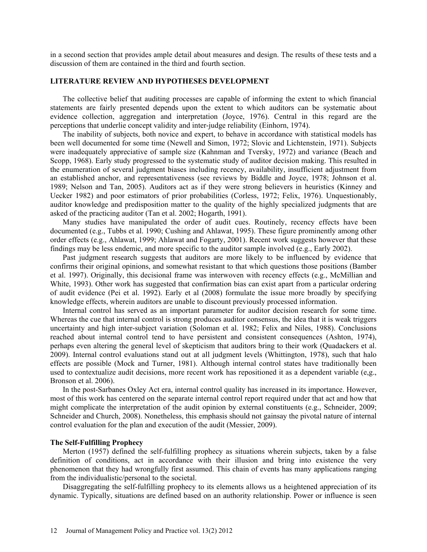in a second section that provides ample detail about measures and design. The results of these tests and a discussion of them are contained in the third and fourth section.

## **LITERATURE REVIEW AND HYPOTHESES DEVELOPMENT**

The collective belief that auditing processes are capable of informing the extent to which financial statements are fairly presented depends upon the extent to which auditors can be systematic about evidence collection, aggregation and interpretation (Joyce, 1976). Central in this regard are the perceptions that underlie concept validity and inter-judge reliability (Einhorn, 1974).

The inability of subjects, both novice and expert, to behave in accordance with statistical models has been well documented for some time (Newell and Simon, 1972; Slovic and Lichtenstein, 1971). Subjects were inadequately appreciative of sample size (Kahnman and Tversky, 1972) and variance (Beach and Scopp, 1968). Early study progressed to the systematic study of auditor decision making. This resulted in the enumeration of several judgment biases including recency, availability, insufficient adjustment from an established anchor, and representativeness (see reviews by Biddle and Joyce, 1978; Johnson et al. 1989; Nelson and Tan, 2005). Auditors act as if they were strong believers in heuristics (Kinney and Uecker 1982) and poor estimators of prior probabilities (Corless, 1972; Felix, 1976). Unquestionably, auditor knowledge and predisposition matter to the quality of the highly specialized judgments that are asked of the practicing auditor (Tan et al. 2002; Hogarth, 1991).

Many studies have manipulated the order of audit cues. Routinely, recency effects have been documented (e.g., Tubbs et al. 1990; Cushing and Ahlawat, 1995). These figure prominently among other order effects (e.g., Ahlawat, 1999; Ahlawat and Fogarty, 2001). Recent work suggests however that these findings may be less endemic, and more specific to the auditor sample involved (e.g., Early 2002).

Past judgment research suggests that auditors are more likely to be influenced by evidence that confirms their original opinions, and somewhat resistant to that which questions those positions (Bamber et al. 1997). Originally, this decisional frame was interwoven with recency effects (e.g., McMillian and White, 1993). Other work has suggested that confirmation bias can exist apart from a particular ordering of audit evidence (Pei et al. 1992). Early et al (2008) formulate the issue more broadly by specifying knowledge effects, wherein auditors are unable to discount previously processed information.

Internal control has served as an important parameter for auditor decision research for some time. Whereas the cue that internal control is strong produces auditor consensus, the idea that it is weak triggers uncertainty and high inter-subject variation (Soloman et al. 1982; Felix and Niles, 1988). Conclusions reached about internal control tend to have persistent and consistent consequences (Ashton, 1974), perhaps even altering the general level of skepticism that auditors bring to their work (Quadackers et al. 2009). Internal control evaluations stand out at all judgment levels (Whittington, 1978), such that halo effects are possible (Mock and Turner, 1981). Although internal control states have traditionally been used to contextualize audit decisions, more recent work has repositioned it as a dependent variable (e,g., Bronson et al. 2006).

In the post-Sarbanes Oxley Act era, internal control quality has increased in its importance. However, most of this work has centered on the separate internal control report required under that act and how that might complicate the interpretation of the audit opinion by external constituents (e.g., Schneider, 2009; Schneider and Church, 2008). Nonetheless, this emphasis should not gainsay the pivotal nature of internal control evaluation for the plan and execution of the audit (Messier, 2009).

#### **The Self-Fulfilling Prophecy**

Merton (1957) defined the self-fulfilling prophecy as situations wherein subjects, taken by a false definition of conditions, act in accordance with their illusion and bring into existence the very phenomenon that they had wrongfully first assumed. This chain of events has many applications ranging from the individualistic/personal to the societal.

Disaggregating the self-fulfilling prophecy to its elements allows us a heightened appreciation of its dynamic. Typically, situations are defined based on an authority relationship. Power or influence is seen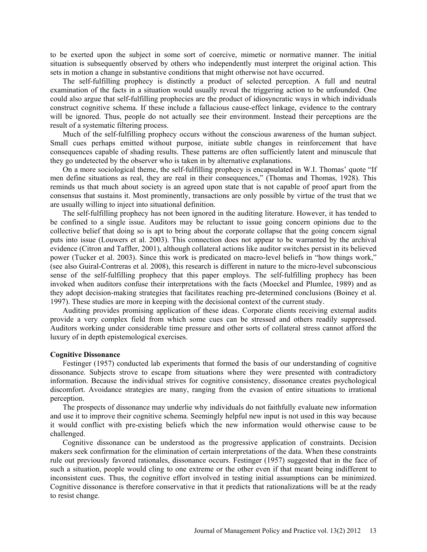to be exerted upon the subject in some sort of coercive, mimetic or normative manner. The initial situation is subsequently observed by others who independently must interpret the original action. This sets in motion a change in substantive conditions that might otherwise not have occurred.

The self-fulfilling prophecy is distinctly a product of selected perception. A full and neutral examination of the facts in a situation would usually reveal the triggering action to be unfounded. One could also argue that self-fulfilling prophecies are the product of idiosyncratic ways in which individuals construct cognitive schema. If these include a fallacious cause-effect linkage, evidence to the contrary will be ignored. Thus, people do not actually see their environment. Instead their perceptions are the result of a systematic filtering process.

Much of the self-fulfilling prophecy occurs without the conscious awareness of the human subject. Small cues perhaps emitted without purpose, initiate subtle changes in reinforcement that have consequences capable of shading results. These patterns are often sufficiently latent and minuscule that they go undetected by the observer who is taken in by alternative explanations.

On a more sociological theme, the self-fulfilling prophecy is encapsulated in W.I. Thomas' quote "If men define situations as real, they are real in their consequences," (Thomas and Thomas, 1928). This reminds us that much about society is an agreed upon state that is not capable of proof apart from the consensus that sustains it. Most prominently, transactions are only possible by virtue of the trust that we are usually willing to inject into situational definition.

The self-fulfilling prophecy has not been ignored in the auditing literature. However, it has tended to be confined to a single issue. Auditors may be reluctant to issue going concern opinions due to the collective belief that doing so is apt to bring about the corporate collapse that the going concern signal puts into issue (Louwers et al. 2003). This connection does not appear to be warranted by the archival evidence (Citron and Taffler, 2001), although collateral actions like auditor switches persist in its believed power (Tucker et al. 2003). Since this work is predicated on macro-level beliefs in "how things work," (see also Guiral-Contreras et al. 2008), this research is different in nature to the micro-level subconscious sense of the self-fulfilling prophecy that this paper employs. The self-fulfilling prophecy has been invoked when auditors confuse their interpretations with the facts (Moeckel and Plumlee, 1989) and as they adopt decision-making strategies that facilitates reaching pre-determined conclusions (Boiney et al. 1997). These studies are more in keeping with the decisional context of the current study.

Auditing provides promising application of these ideas. Corporate clients receiving external audits provide a very complex field from which some cues can be stressed and others readily suppressed. Auditors working under considerable time pressure and other sorts of collateral stress cannot afford the luxury of in depth epistemological exercises.

### **Cognitive Dissonance**

Festinger (1957) conducted lab experiments that formed the basis of our understanding of cognitive dissonance. Subjects strove to escape from situations where they were presented with contradictory information. Because the individual strives for cognitive consistency, dissonance creates psychological discomfort. Avoidance strategies are many, ranging from the evasion of entire situations to irrational perception.

The prospects of dissonance may underlie why individuals do not faithfully evaluate new information and use it to improve their cognitive schema. Seemingly helpful new input is not used in this way because it would conflict with pre-existing beliefs which the new information would otherwise cause to be challenged.

Cognitive dissonance can be understood as the progressive application of constraints. Decision makers seek confirmation for the elimination of certain interpretations of the data. When these constraints rule out previously favored rationales, dissonance occurs. Festinger (1957) suggested that in the face of such a situation, people would cling to one extreme or the other even if that meant being indifferent to inconsistent cues. Thus, the cognitive effort involved in testing initial assumptions can be minimized. Cognitive dissonance is therefore conservative in that it predicts that rationalizations will be at the ready to resist change.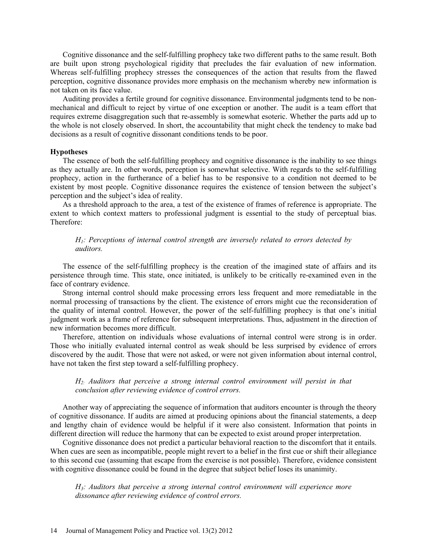Cognitive dissonance and the self-fulfilling prophecy take two different paths to the same result. Both are built upon strong psychological rigidity that precludes the fair evaluation of new information. Whereas self-fulfilling prophecy stresses the consequences of the action that results from the flawed perception, cognitive dissonance provides more emphasis on the mechanism whereby new information is not taken on its face value.

Auditing provides a fertile ground for cognitive dissonance. Environmental judgments tend to be nonmechanical and difficult to reject by virtue of one exception or another. The audit is a team effort that requires extreme disaggregation such that re-assembly is somewhat esoteric. Whether the parts add up to the whole is not closely observed. In short, the accountability that might check the tendency to make bad decisions as a result of cognitive dissonant conditions tends to be poor.

#### **Hypotheses**

The essence of both the self-fulfilling prophecy and cognitive dissonance is the inability to see things as they actually are. In other words, perception is somewhat selective. With regards to the self-fulfilling prophecy, action in the furtherance of a belief has to be responsive to a condition not deemed to be existent by most people. Cognitive dissonance requires the existence of tension between the subject's perception and the subject's idea of reality.

As a threshold approach to the area, a test of the existence of frames of reference is appropriate. The extent to which context matters to professional judgment is essential to the study of perceptual bias. Therefore:

## *H1: Perceptions of internal control strength are inversely related to errors detected by auditors.*

The essence of the self-fulfilling prophecy is the creation of the imagined state of affairs and its persistence through time. This state, once initiated, is unlikely to be critically re-examined even in the face of contrary evidence.

Strong internal control should make processing errors less frequent and more remediatable in the normal processing of transactions by the client. The existence of errors might cue the reconsideration of the quality of internal control. However, the power of the self-fulfilling prophecy is that one's initial judgment work as a frame of reference for subsequent interpretations. Thus, adjustment in the direction of new information becomes more difficult.

Therefore, attention on individuals whose evaluations of internal control were strong is in order. Those who initially evaluated internal control as weak should be less surprised by evidence of errors discovered by the audit. Those that were not asked, or were not given information about internal control, have not taken the first step toward a self-fulfilling prophecy.

## *H2: Auditors that perceive a strong internal control environment will persist in that conclusion after reviewing evidence of control errors.*

Another way of appreciating the sequence of information that auditors encounter is through the theory of cognitive dissonance. If audits are aimed at producing opinions about the financial statements, a deep and lengthy chain of evidence would be helpful if it were also consistent. Information that points in different direction will reduce the harmony that can be expected to exist around proper interpretation.

Cognitive dissonance does not predict a particular behavioral reaction to the discomfort that it entails. When cues are seen as incompatible, people might revert to a belief in the first cue or shift their allegiance to this second cue (assuming that escape from the exercise is not possible). Therefore, evidence consistent with cognitive dissonance could be found in the degree that subject belief loses its unanimity.

*H3: Auditors that perceive a strong internal control environment will experience more dissonance after reviewing evidence of control errors.*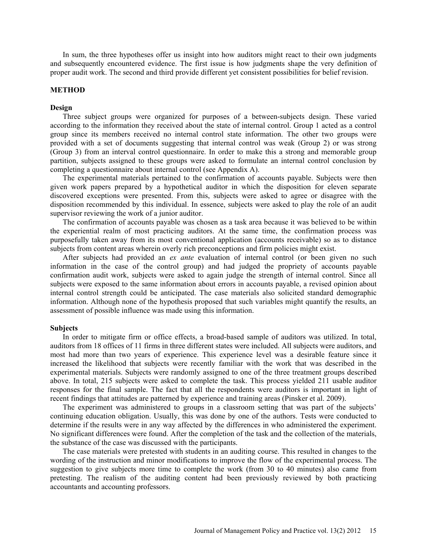In sum, the three hypotheses offer us insight into how auditors might react to their own judgments and subsequently encountered evidence. The first issue is how judgments shape the very definition of proper audit work. The second and third provide different yet consistent possibilities for belief revision.

#### **METHOD**

### **Design**

Three subject groups were organized for purposes of a between-subjects design. These varied according to the information they received about the state of internal control. Group 1 acted as a control group since its members received no internal control state information. The other two groups were provided with a set of documents suggesting that internal control was weak (Group 2) or was strong (Group 3) from an interval control questionnaire. In order to make this a strong and memorable group partition, subjects assigned to these groups were asked to formulate an internal control conclusion by completing a questionnaire about internal control (see Appendix A).

The experimental materials pertained to the confirmation of accounts payable. Subjects were then given work papers prepared by a hypothetical auditor in which the disposition for eleven separate discovered exceptions were presented. From this, subjects were asked to agree or disagree with the disposition recommended by this individual. In essence, subjects were asked to play the role of an audit supervisor reviewing the work of a junior auditor.

The confirmation of accounts payable was chosen as a task area because it was believed to be within the experiential realm of most practicing auditors. At the same time, the confirmation process was purposefully taken away from its most conventional application (accounts receivable) so as to distance subjects from content areas wherein overly rich preconceptions and firm policies might exist.

After subjects had provided an *ex ante* evaluation of internal control (or been given no such information in the case of the control group) and had judged the propriety of accounts payable confirmation audit work, subjects were asked to again judge the strength of internal control. Since all subjects were exposed to the same information about errors in accounts payable, a revised opinion about internal control strength could be anticipated. The case materials also solicited standard demographic information. Although none of the hypothesis proposed that such variables might quantify the results, an assessment of possible influence was made using this information.

## **Subjects**

In order to mitigate firm or office effects, a broad-based sample of auditors was utilized. In total, auditors from 18 offices of 11 firms in three different states were included. All subjects were auditors, and most had more than two years of experience. This experience level was a desirable feature since it increased the likelihood that subjects were recently familiar with the work that was described in the experimental materials. Subjects were randomly assigned to one of the three treatment groups described above. In total, 215 subjects were asked to complete the task. This process yielded 211 usable auditor responses for the final sample. The fact that all the respondents were auditors is important in light of recent findings that attitudes are patterned by experience and training areas (Pinsker et al. 2009).

The experiment was administered to groups in a classroom setting that was part of the subjects' continuing education obligation. Usually, this was done by one of the authors. Tests were conducted to determine if the results were in any way affected by the differences in who administered the experiment. No significant differences were found. After the completion of the task and the collection of the materials, the substance of the case was discussed with the participants.

The case materials were pretested with students in an auditing course. This resulted in changes to the wording of the instruction and minor modifications to improve the flow of the experimental process. The suggestion to give subjects more time to complete the work (from 30 to 40 minutes) also came from pretesting. The realism of the auditing content had been previously reviewed by both practicing accountants and accounting professors.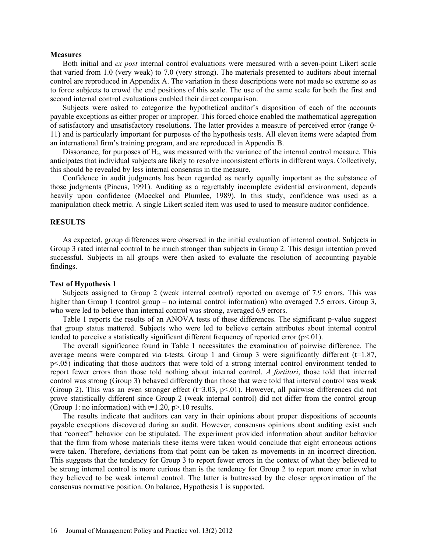#### **Measures**

Both initial and *ex post* internal control evaluations were measured with a seven-point Likert scale that varied from 1.0 (very weak) to 7.0 (very strong). The materials presented to auditors about internal control are reproduced in Appendix A. The variation in these descriptions were not made so extreme so as to force subjects to crowd the end positions of this scale. The use of the same scale for both the first and second internal control evaluations enabled their direct comparison.

Subjects were asked to categorize the hypothetical auditor's disposition of each of the accounts payable exceptions as either proper or improper. This forced choice enabled the mathematical aggregation of satisfactory and unsatisfactory resolutions. The latter provides a measure of perceived error (range 0- 11) and is particularly important for purposes of the hypothesis tests. All eleven items were adapted from an international firm's training program, and are reproduced in Appendix B.

Dissonance, for purposes of  $H_3$ , was measured with the variance of the internal control measure. This anticipates that individual subjects are likely to resolve inconsistent efforts in different ways. Collectively, this should be revealed by less internal consensus in the measure.

Confidence in audit judgments has been regarded as nearly equally important as the substance of those judgments (Pincus, 1991). Auditing as a regrettably incomplete evidential environment, depends heavily upon confidence (Moeckel and Plumlee, 1989). In this study, confidence was used as a manipulation check metric. A single Likert scaled item was used to used to measure auditor confidence.

#### **RESULTS**

As expected, group differences were observed in the initial evaluation of internal control. Subjects in Group 3 rated internal control to be much stronger than subjects in Group 2. This design intention proved successful. Subjects in all groups were then asked to evaluate the resolution of accounting payable findings.

#### **Test of Hypothesis 1**

Subjects assigned to Group 2 (weak internal control) reported on average of 7.9 errors. This was higher than Group 1 (control group – no internal control information) who averaged 7.5 errors. Group 3, who were led to believe than internal control was strong, averaged 6.9 errors.

Table 1 reports the results of an ANOVA tests of these differences. The significant p-value suggest that group status mattered. Subjects who were led to believe certain attributes about internal control tended to perceive a statistically significant different frequency of reported error  $(p<01)$ .

The overall significance found in Table 1 necessitates the examination of pairwise difference. The average means were compared via t-tests. Group 1 and Group 3 were significantly different  $(t=1.87)$ , p<.05) indicating that those auditors that were told of a strong internal control environment tended to report fewer errors than those told nothing about internal control. *A fortitori*, those told that internal control was strong (Group 3) behaved differently than those that were told that interval control was weak (Group 2). This was an even stronger effect ( $t=3.03$ ,  $p<01$ ). However, all pairwise differences did not prove statistically different since Group 2 (weak internal control) did not differ from the control group (Group 1: no information) with  $t=1.20$ ,  $p>10$  results.

The results indicate that auditors can vary in their opinions about proper dispositions of accounts payable exceptions discovered during an audit. However, consensus opinions about auditing exist such that "correct" behavior can be stipulated. The experiment provided information about auditor behavior that the firm from whose materials these items were taken would conclude that eight erroneous actions were taken. Therefore, deviations from that point can be taken as movements in an incorrect direction. This suggests that the tendency for Group 3 to report fewer errors in the context of what they believed to be strong internal control is more curious than is the tendency for Group 2 to report more error in what they believed to be weak internal control. The latter is buttressed by the closer approximation of the consensus normative position. On balance, Hypothesis 1 is supported.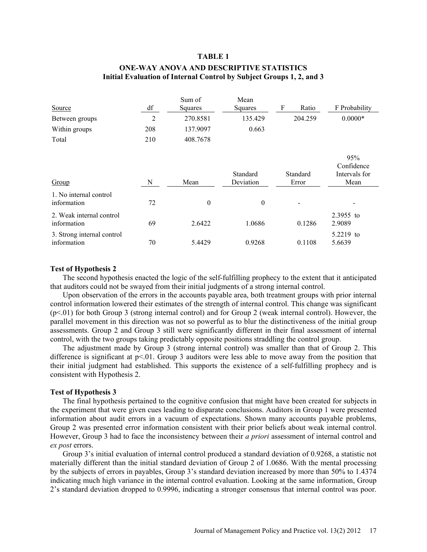#### **TABLE 1**

## **ONE-WAY ANOVA AND DESCRIPTIVE STATISTICS Initial Evaluation of Internal Control by Subject Groups 1, 2, and 3**

|                                           |     | Sum of   | Mean                  |                   |                                            |
|-------------------------------------------|-----|----------|-----------------------|-------------------|--------------------------------------------|
| Source                                    | df  | Squares  | Squares               | F<br>Ratio        | F Probability                              |
| Between groups                            | 2   | 270.8581 | 135.429               | 204.259           | $0.0000*$                                  |
| Within groups                             | 208 | 137.9097 | 0.663                 |                   |                                            |
| Total                                     | 210 | 408.7678 |                       |                   |                                            |
| Group                                     | N   | Mean     | Standard<br>Deviation | Standard<br>Error | 95%<br>Confidence<br>Intervals for<br>Mean |
|                                           |     |          |                       |                   |                                            |
| 1. No internal control<br>information     | 72  | $\theta$ | $\theta$              |                   |                                            |
| 2. Weak internal control<br>information   | 69  | 2.6422   | 1.0686                | 0.1286            | 2.3955 to<br>2.9089                        |
| 3. Strong internal control<br>information | 70  | 5.4429   | 0.9268                | 0.1108            | 5.2219 to<br>5.6639                        |

#### **Test of Hypothesis 2**

The second hypothesis enacted the logic of the self-fulfilling prophecy to the extent that it anticipated that auditors could not be swayed from their initial judgments of a strong internal control.

Upon observation of the errors in the accounts payable area, both treatment groups with prior internal control information lowered their estimates of the strength of internal control. This change was significant (p<.01) for both Group 3 (strong internal control) and for Group 2 (weak internal control). However, the parallel movement in this direction was not so powerful as to blur the distinctiveness of the initial group assessments. Group 2 and Group 3 still were significantly different in their final assessment of internal control, with the two groups taking predictably opposite positions straddling the control group.

The adjustment made by Group 3 (strong internal control) was smaller than that of Group 2. This difference is significant at  $p<0.01$ . Group 3 auditors were less able to move away from the position that their initial judgment had established. This supports the existence of a self-fulfilling prophecy and is consistent with Hypothesis 2.

#### **Test of Hypothesis 3**

The final hypothesis pertained to the cognitive confusion that might have been created for subjects in the experiment that were given cues leading to disparate conclusions. Auditors in Group 1 were presented information about audit errors in a vacuum of expectations. Shown many accounts payable problems, Group 2 was presented error information consistent with their prior beliefs about weak internal control. However, Group 3 had to face the inconsistency between their *a priori* assessment of internal control and *ex post* errors.

Group 3's initial evaluation of internal control produced a standard deviation of 0.9268, a statistic not materially different than the initial standard deviation of Group 2 of 1.0686. With the mental processing by the subjects of errors in payables, Group 3's standard deviation increased by more than 50% to 1.4374 indicating much high variance in the internal control evaluation. Looking at the same information, Group 2's standard deviation dropped to 0.9996, indicating a stronger consensus that internal control was poor.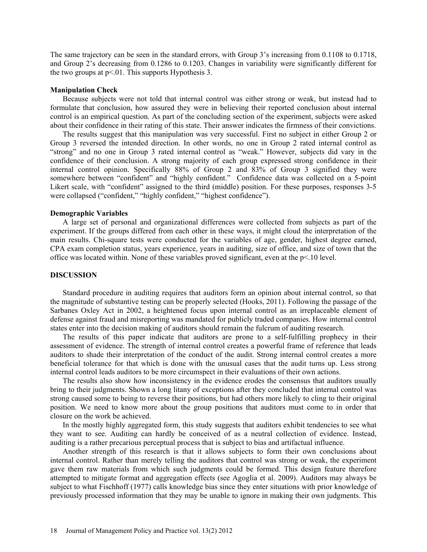The same trajectory can be seen in the standard errors, with Group 3's increasing from 0.1108 to 0.1718, and Group 2's decreasing from 0.1286 to 0.1203. Changes in variability were significantly different for the two groups at  $p<01$ . This supports Hypothesis 3.

#### **Manipulation Check**

Because subjects were not told that internal control was either strong or weak, but instead had to formulate that conclusion, how assured they were in believing their reported conclusion about internal control is an empirical question. As part of the concluding section of the experiment, subjects were asked about their confidence in their rating of this state. Their answer indicates the firmness of their convictions.

The results suggest that this manipulation was very successful. First no subject in either Group 2 or Group 3 reversed the intended direction. In other words, no one in Group 2 rated internal control as "strong" and no one in Group 3 rated internal control as "weak." However, subjects did vary in the confidence of their conclusion. A strong majority of each group expressed strong confidence in their internal control opinion. Specifically 88% of Group 2 and 83% of Group 3 signified they were somewhere between "confident" and "highly confident." Confidence data was collected on a 5-point Likert scale, with "confident" assigned to the third (middle) position. For these purposes, responses 3-5 were collapsed ("confident," "highly confident," "highest confidence").

#### **Demographic Variables**

A large set of personal and organizational differences were collected from subjects as part of the experiment. If the groups differed from each other in these ways, it might cloud the interpretation of the main results. Chi-square tests were conducted for the variables of age, gender, highest degree earned, CPA exam completion status, years experience, years in auditing, size of office, and size of town that the office was located within. None of these variables proved significant, even at the p<.10 level.

### **DISCUSSION**

Standard procedure in auditing requires that auditors form an opinion about internal control, so that the magnitude of substantive testing can be properly selected (Hooks, 2011). Following the passage of the Sarbanes Oxley Act in 2002, a heightened focus upon internal control as an irreplaceable element of defense against fraud and misreporting was mandated for publicly traded companies. How internal control states enter into the decision making of auditors should remain the fulcrum of auditing research.

The results of this paper indicate that auditors are prone to a self-fulfilling prophecy in their assessment of evidence. The strength of internal control creates a powerful frame of reference that leads auditors to shade their interpretation of the conduct of the audit. Strong internal control creates a more beneficial tolerance for that which is done with the unusual cases that the audit turns up. Less strong internal control leads auditors to be more circumspect in their evaluations of their own actions.

The results also show how inconsistency in the evidence erodes the consensus that auditors usually bring to their judgments. Shown a long litany of exceptions after they concluded that internal control was strong caused some to being to reverse their positions, but had others more likely to cling to their original position. We need to know more about the group positions that auditors must come to in order that closure on the work be achieved.

In the mostly highly aggregated form, this study suggests that auditors exhibit tendencies to see what they want to see. Auditing can hardly be conceived of as a neutral collection of evidence. Instead, auditing is a rather precarious perceptual process that is subject to bias and artifactual influence.

Another strength of this research is that it allows subjects to form their own conclusions about internal control. Rather than merely telling the auditors that control was strong or weak, the experiment gave them raw materials from which such judgments could be formed. This design feature therefore attempted to mitigate format and aggregation effects (see Agoglia et al. 2009). Auditors may always be subject to what Fischhoff (1977) calls knowledge bias since they enter situations with prior knowledge of previously processed information that they may be unable to ignore in making their own judgments. This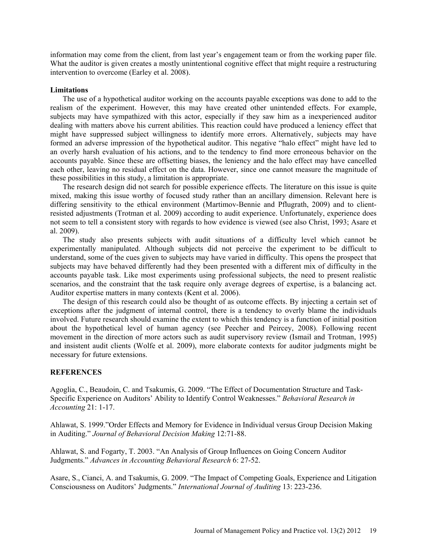information may come from the client, from last year's engagement team or from the working paper file. What the auditor is given creates a mostly unintentional cognitive effect that might require a restructuring intervention to overcome (Earley et al. 2008).

#### **Limitations**

The use of a hypothetical auditor working on the accounts payable exceptions was done to add to the realism of the experiment. However, this may have created other unintended effects. For example, subjects may have sympathized with this actor, especially if they saw him as a inexperienced auditor dealing with matters above his current abilities. This reaction could have produced a leniency effect that might have suppressed subject willingness to identify more errors. Alternatively, subjects may have formed an adverse impression of the hypothetical auditor. This negative "halo effect" might have led to an overly harsh evaluation of his actions, and to the tendency to find more erroneous behavior on the accounts payable. Since these are offsetting biases, the leniency and the halo effect may have cancelled each other, leaving no residual effect on the data. However, since one cannot measure the magnitude of these possibilities in this study, a limitation is appropriate.

The research design did not search for possible experience effects. The literature on this issue is quite mixed, making this issue worthy of focused study rather than an ancillary dimension. Relevant here is differing sensitivity to the ethical environment (Martimov-Bennie and Pflugrath, 2009) and to clientresisted adjustments (Trotman et al. 2009) according to audit experience. Unfortunately, experience does not seem to tell a consistent story with regards to how evidence is viewed (see also Christ, 1993; Asare et al. 2009).

The study also presents subjects with audit situations of a difficulty level which cannot be experimentally manipulated. Although subjects did not perceive the experiment to be difficult to understand, some of the cues given to subjects may have varied in difficulty. This opens the prospect that subjects may have behaved differently had they been presented with a different mix of difficulty in the accounts payable task. Like most experiments using professional subjects, the need to present realistic scenarios, and the constraint that the task require only average degrees of expertise, is a balancing act. Auditor expertise matters in many contexts (Kent et al. 2006).

The design of this research could also be thought of as outcome effects. By injecting a certain set of exceptions after the judgment of internal control, there is a tendency to overly blame the individuals involved. Future research should examine the extent to which this tendency is a function of initial position about the hypothetical level of human agency (see Peecher and Peircey, 2008). Following recent movement in the direction of more actors such as audit supervisory review (Ismail and Trotman, 1995) and insistent audit clients (Wolfe et al. 2009), more elaborate contexts for auditor judgments might be necessary for future extensions.

## **REFERENCES**

Agoglia, C., Beaudoin, C. and Tsakumis, G. 2009. "The Effect of Documentation Structure and Task-Specific Experience on Auditors' Ability to Identify Control Weaknesses." *Behavioral Research in Accounting* 21: 1-17.

Ahlawat, S. 1999."Order Effects and Memory for Evidence in Individual versus Group Decision Making in Auditing." *Journal of Behavioral Decision Making* 12:71-88.

Ahlawat, S. and Fogarty, T. 2003. "An Analysis of Group Influences on Going Concern Auditor Judgments." *Advances in Accounting Behavioral Research* 6: 27-52.

Asare, S., Cianci, A. and Tsakumis, G. 2009. "The Impact of Competing Goals, Experience and Litigation Consciousness on Auditors' Judgments." *International Journal of Auditing* 13: 223-236.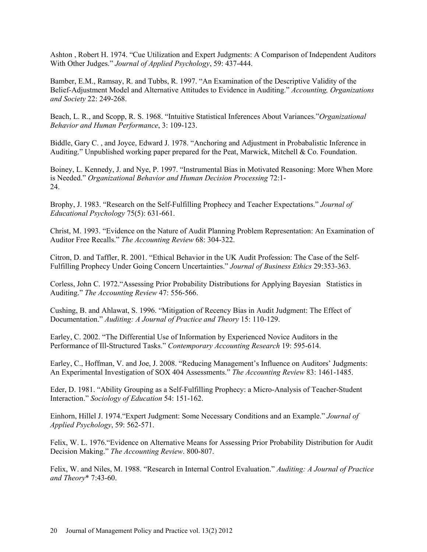Ashton , Robert H. 1974. "Cue Utilization and Expert Judgments: A Comparison of Independent Auditors With Other Judges." *Journal of Applied Psychology*, 59: 437-444.

Bamber, E.M., Ramsay, R. and Tubbs, R. 1997. "An Examination of the Descriptive Validity of the Belief-Adjustment Model and Alternative Attitudes to Evidence in Auditing." *Accounting, Organizations and Society* 22: 249-268.

Beach, L. R., and Scopp, R. S. 1968. "Intuitive Statistical Inferences About Variances."*Organizational Behavior and Human Performance*, 3: 109-123.

Biddle, Gary C. , and Joyce, Edward J. 1978. "Anchoring and Adjustment in Probabalistic Inference in Auditing." Unpublished working paper prepared for the Peat, Marwick, Mitchell & Co. Foundation.

Boiney, L. Kennedy, J. and Nye, P. 1997. "Instrumental Bias in Motivated Reasoning: More When More is Needed." *Organizational Behavior and Human Decision Processing* 72:1- 24.

Brophy, J. 1983. "Research on the Self-Fulfilling Prophecy and Teacher Expectations." *Journal of Educational Psychology* 75(5): 631-661.

Christ, M. 1993. "Evidence on the Nature of Audit Planning Problem Representation: An Examination of Auditor Free Recalls." *The Accounting Review* 68: 304-322.

Citron, D. and Taffler, R. 2001. "Ethical Behavior in the UK Audit Profession: The Case of the Self-Fulfilling Prophecy Under Going Concern Uncertainties." *Journal of Business Ethics* 29:353-363.

Corless, John C. 1972."Assessing Prior Probability Distributions for Applying Bayesian Statistics in Auditing." *The Accounting Review* 47: 556-566.

Cushing, B. and Ahlawat, S. 1996. "Mitigation of Recency Bias in Audit Judgment: The Effect of Documentation." *Auditing: A Journal of Practice and Theory* 15: 110-129.

Earley, C. 2002. "The Differential Use of Information by Experienced Novice Auditors in the Performance of Ill-Structured Tasks." *Contemporary Accounting Research* 19: 595-614.

Earley, C., Hoffman, V. and Joe, J. 2008. "Reducing Management's Influence on Auditors' Judgments: An Experimental Investigation of SOX 404 Assessments." *The Accounting Review* 83: 1461-1485.

Eder, D. 1981. "Ability Grouping as a Self-Fulfilling Prophecy: a Micro-Analysis of Teacher-Student Interaction." *Sociology of Education* 54: 151-162.

Einhorn, Hillel J. 1974."Expert Judgment: Some Necessary Conditions and an Example." *Journal of Applied Psychology*, 59: 562-571.

Felix, W. L. 1976."Evidence on Alternative Means for Assessing Prior Probability Distribution for Audit Decision Making." *The Accounting Review*. 800-807.

Felix, W. and Niles, M. 1988. "Research in Internal Control Evaluation." *Auditing: A Journal of Practice and Theory*\* 7:43-60.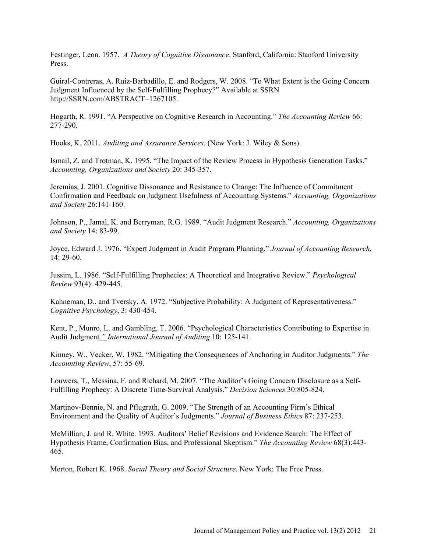Festinger, Leon. 1957. *A Theory of Cognitive Dissonance*. Stanford, California: Stanford University Press.

Guiral-Contreras, A. Ruiz-Barbadillo, E. and Rodgers, W. 2008. "To What Extent is the Going Concern Judgment Influenced by the Self-Fulfilling Prophecy?" Available at SSRN http://SSRN.com/ABSTRACT=1267105.

Hogarth, R. 1991. "A Perspective on Cognitive Research in Accounting." *The Accounting Review* 66: 277-290.

Hooks, K. 2011. *Auditing and Assurance Services*. (New York: J. Wiley & Sons).

Ismail, Z. and Trotman, K. 1995. "The Impact of the Review Process in Hypothesis Generation Tasks." *Accounting, Organizations and Society* 20: 345-357.

Jeremias, J. 2001. Cognitive Dissonance and Resistance to Change: The Influence of Commitment Confirmation and Feedback on Judgment Usefulness of Accounting Systems." *Accounting, Organizations and Society* 26:141-160.

Johnson, P., Jamal, K. and Berryman, R.G. 1989. "Audit Judgment Research." *Accounting, Organizations and Society* 14: 83-99.

Joyce, Edward J. 1976. "Expert Judgment in Audit Program Planning." *Journal of Accounting Research*, 14: 29-60.

Jussim, L. 1986. "Self-Fulfilling Prophecies: A Theoretical and Integrative Review." *Psychological Review* 93(4): 429-445.

Kahneman, D., and Tversky, A. 1972. "Subjective Probability: A Judgment of Representativeness." *Cognitive Psychology*, 3: 430-454.

Kent, P., Munro, L. and Gambling, T. 2006. "Psychological Characteristics Contributing to Expertise in Audit Judgment*." International Journal of Auditing* 10: 125-141.

Kinney, W., Vecker, W. 1982. "Mitigating the Consequences of Anchoring in Auditor Judgments." *The Accounting Review*, 57: 55-69.

Louwers, T., Messina, F. and Richard, M. 2007. "The Auditor's Going Concern Disclosure as a Self-Fulfilling Prophecy: A Discrete Time-Survival Analysis." *Decision Sciences* 30:805-824.

Martinov-Bennie, N. and Pflugrath, G. 2009. "The Strength of an Accounting Firm's Ethical Environment and the Quality of Auditor's Judgments." *Journal of Business Ethics* 87: 237-253.

McMillian, J. and R. White. 1993. Auditors' Belief Revisions and Evidence Search: The Effect of Hypothesis Frame, Confirmation Bias, and Professional Skeptism." *The Accounting Review* 68(3):443- 465.

Merton, Robert K. 1968. *Social Theory and Social Structure*. New York: The Free Press.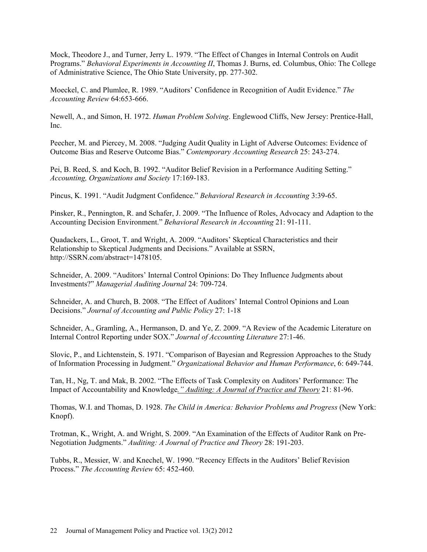Mock, Theodore J., and Turner, Jerry L. 1979. "The Effect of Changes in Internal Controls on Audit Programs." *Behavioral Experiments in Accounting II*, Thomas J. Burns, ed. Columbus, Ohio: The College of Administrative Science, The Ohio State University, pp. 277-302.

Moeckel, C. and Plumlee, R. 1989. "Auditors' Confidence in Recognition of Audit Evidence." *The Accounting Review* 64:653-666.

Newell, A., and Simon, H. 1972. *Human Problem Solving*. Englewood Cliffs, New Jersey: Prentice-Hall, Inc.

Peecher, M. and Piercey, M. 2008. "Judging Audit Quality in Light of Adverse Outcomes: Evidence of Outcome Bias and Reserve Outcome Bias." *Contemporary Accounting Research* 25: 243-274.

Pei, B. Reed, S. and Koch, B. 1992. "Auditor Belief Revision in a Performance Auditing Setting." *Accounting, Organizations and Society* 17:169-183.

Pincus, K. 1991. "Audit Judgment Confidence." *Behavioral Research in Accounting* 3:39-65.

Pinsker, R., Pennington, R. and Schafer, J. 2009. "The Influence of Roles, Advocacy and Adaption to the Accounting Decision Environment." *Behavioral Research in Accounting* 21: 91-111.

Quadackers, L., Groot, T. and Wright, A. 2009. "Auditors' Skeptical Characteristics and their Relationship to Skeptical Judgments and Decisions." Available at SSRN, http://SSRN.com/abstract=1478105.

Schneider, A. 2009. "Auditors' Internal Control Opinions: Do They Influence Judgments about Investments?" *Managerial Auditing Journal* 24: 709-724.

Schneider, A. and Church, B. 2008. "The Effect of Auditors' Internal Control Opinions and Loan Decisions." *Journal of Accounting and Public Policy* 27: 1-18

Schneider, A., Gramling, A., Hermanson, D. and Ye, Z. 2009. "A Review of the Academic Literature on Internal Control Reporting under SOX." *Journal of Accounting Literature* 27:1-46.

Slovic, P., and Lichtenstein, S. 1971. "Comparison of Bayesian and Regression Approaches to the Study of Information Processing in Judgment." *Organizational Behavior and Human Performance*, 6: 649-744.

Tan, H., Ng, T. and Mak, B. 2002. "The Effects of Task Complexity on Auditors' Performance: The Impact of Accountability and Knowledge*." Auditing: A Journal of Practice and Theory* 21: 81-96.

Thomas, W.I. and Thomas, D. 1928. *The Child in America: Behavior Problems and Progress* (New York: Knopf).

Trotman, K., Wright, A. and Wright, S. 2009. "An Examination of the Effects of Auditor Rank on Pre-Negotiation Judgments." *Auditing: A Journal of Practice and Theory* 28: 191-203.

Tubbs, R., Messier, W. and Knechel, W. 1990. "Recency Effects in the Auditors' Belief Revision Process." *The Accounting Review* 65: 452-460.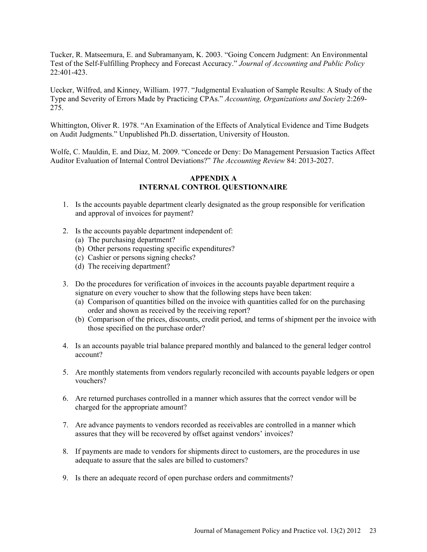Tucker, R. Matseemura, E. and Subramanyam, K. 2003. "Going Concern Judgment: An Environmental Test of the Self-Fulfilling Prophecy and Forecast Accuracy." *Journal of Accounting and Public Policy* 22:401-423.

Uecker, Wilfred, and Kinney, William. 1977. "Judgmental Evaluation of Sample Results: A Study of the Type and Severity of Errors Made by Practicing CPAs." *Accounting, Organizations and Society* 2:269- 275.

Whittington, Oliver R. 1978. "An Examination of the Effects of Analytical Evidence and Time Budgets on Audit Judgments." Unpublished Ph.D. dissertation, University of Houston.

Wolfe, C. Mauldin, E. and Diaz, M. 2009. "Concede or Deny: Do Management Persuasion Tactics Affect Auditor Evaluation of Internal Control Deviations?" *The Accounting Review* 84: 2013-2027.

## **APPENDIX A INTERNAL CONTROL QUESTIONNAIRE**

- 1. Is the accounts payable department clearly designated as the group responsible for verification and approval of invoices for payment?
- 2. Is the accounts payable department independent of:
	- (a) The purchasing department?
	- (b) Other persons requesting specific expenditures?
	- (c) Cashier or persons signing checks?
	- (d) The receiving department?
- 3. Do the procedures for verification of invoices in the accounts payable department require a signature on every voucher to show that the following steps have been taken:
	- (a) Comparison of quantities billed on the invoice with quantities called for on the purchasing order and shown as received by the receiving report?
	- (b) Comparison of the prices, discounts, credit period, and terms of shipment per the invoice with those specified on the purchase order?
- 4. Is an accounts payable trial balance prepared monthly and balanced to the general ledger control account?
- 5. Are monthly statements from vendors regularly reconciled with accounts payable ledgers or open vouchers?
- 6. Are returned purchases controlled in a manner which assures that the correct vendor will be charged for the appropriate amount?
- 7. Are advance payments to vendors recorded as receivables are controlled in a manner which assures that they will be recovered by offset against vendors' invoices?
- 8. If payments are made to vendors for shipments direct to customers, are the procedures in use adequate to assure that the sales are billed to customers?
- 9. Is there an adequate record of open purchase orders and commitments?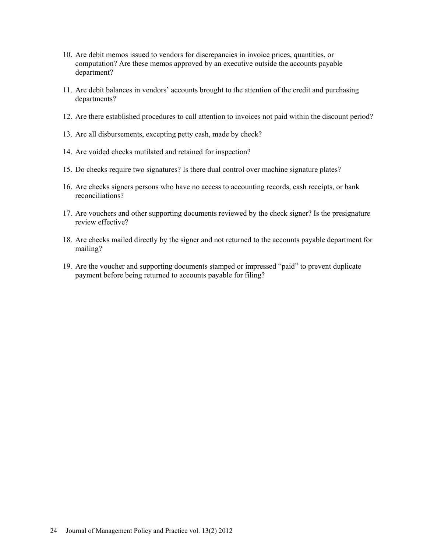- 10. Are debit memos issued to vendors for discrepancies in invoice prices, quantities, or computation? Are these memos approved by an executive outside the accounts payable department?
- 11. Are debit balances in vendors' accounts brought to the attention of the credit and purchasing departments?
- 12. Are there established procedures to call attention to invoices not paid within the discount period?
- 13. Are all disbursements, excepting petty cash, made by check?
- 14. Are voided checks mutilated and retained for inspection?
- 15. Do checks require two signatures? Is there dual control over machine signature plates?
- 16. Are checks signers persons who have no access to accounting records, cash receipts, or bank reconciliations?
- 17. Are vouchers and other supporting documents reviewed by the check signer? Is the presignature review effective?
- 18. Are checks mailed directly by the signer and not returned to the accounts payable department for mailing?
- 19. Are the voucher and supporting documents stamped or impressed "paid" to prevent duplicate payment before being returned to accounts payable for filing?